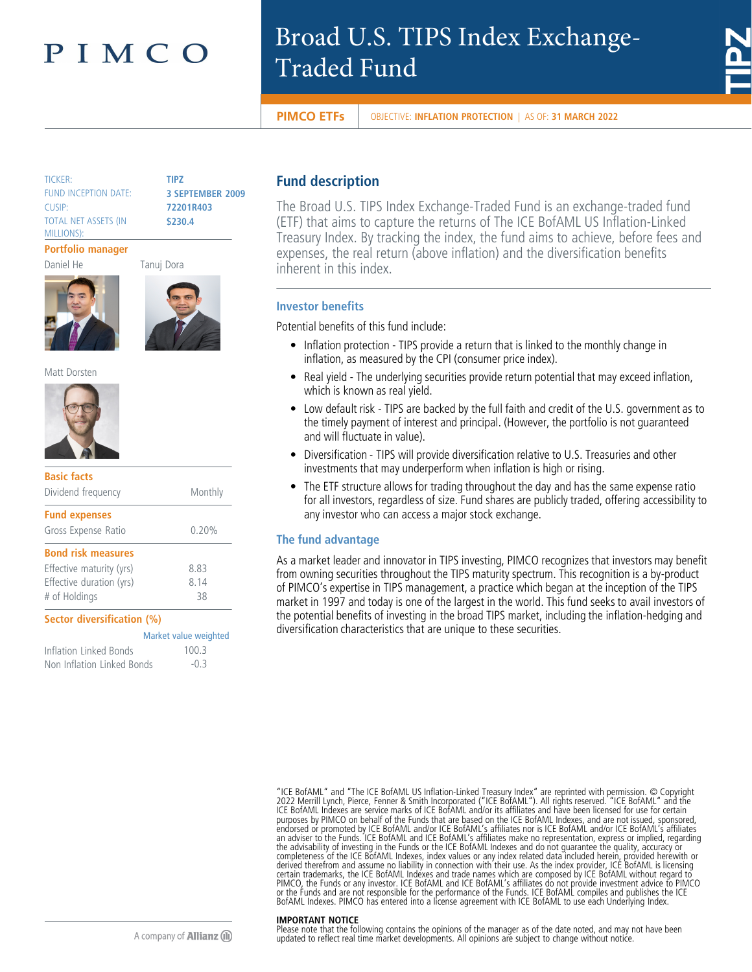# PIMCO

# Broad U.S. TIPS Index Exchange-Traded Fund



**PIMCO ETFs** OBJECTIVE: INFLATION PROTECTION | AS OF: 31 MARCH 2022

TICKER: **TIPZ** FUND INCEPTION DATE: **3 SEPTEMBER 2009** CUSIP: **72201R403** TOTAL NET ASSETS (IN MILLIONS):

**\$230.4**

## **Portfolio manager**

Daniel He Tanuj Dora





Matt Dorsten



| <b>Basic facts</b><br>Dividend frequency | Monthly               |
|------------------------------------------|-----------------------|
| <b>Fund expenses</b>                     |                       |
| Gross Expense Ratio                      | 0.20%                 |
| <b>Bond risk measures</b>                |                       |
| Effective maturity (yrs)                 | 8.83                  |
| Effective duration (yrs)                 | 8.14                  |
| # of Holdings                            | 38                    |
| Sector diversification (%)               |                       |
|                                          | Market value weighted |
| Inflation Linked Bonds                   | 100.3                 |
| Non Inflation Linked Bonds               | $-0.3$                |

# **Fund description**

The Broad U.S. TIPS Index Exchange-Traded Fund is an exchange-traded fund (ETF) that aims to capture the returns of The ICE BofAML US Inflation-Linked Treasury Index. By tracking the index, the fund aims to achieve, before fees and expenses, the real return (above inflation) and the diversification benefits inherent in this index.

# **Investor benefits**

Potential benefits of this fund include:

- Inflation protection TIPS provide a return that is linked to the monthly change in inflation, as measured by the CPI (consumer price index).
- Real yield The underlying securities provide return potential that may exceed inflation, which is known as real yield.
- Low default risk TIPS are backed by the full faith and credit of the U.S. government as to the timely payment of interest and principal. (However, the portfolio is not guaranteed and will fluctuate in value).
- Diversification TIPS will provide diversification relative to U.S. Treasuries and other investments that may underperform when inflation is high or rising.
- The ETF structure allows for trading throughout the day and has the same expense ratio for all investors, regardless of size. Fund shares are publicly traded, offering accessibility to any investor who can access a major stock exchange.

# **The fund advantage**

As a market leader and innovator in TIPS investing, PIMCO recognizes that investors may benefit from owning securities throughout the TIPS maturity spectrum. This recognition is a by-product of PIMCO's expertise in TIPS management, a practice which began at the inception of the TIPS market in 1997 and today is one of the largest in the world. This fund seeks to avail investors of the potential benefits of investing in the broad TIPS market, including the inflation-hedging and diversification characteristics that are unique to these securities.

"ICE BofAML" and "The ICE BofAML US Inflation-Linked Treasury Index" are reprinted with permission. © Copyright<br>2022 Merrill Lynch, Pierce, Fenner & Smith Incorporated ("ICE BofAML"). All rights reserved. "ICE BofAML" and purposes by PIMCO on behalf of the Funds that are based on the ICE BofAML Indexes, and are not issued, sponsored,<br>endorsed or promoted by ICE BofAML and/or ICE BofAML's affiliates nor is ICE BofAML and/or ICE BofAML's affi an adviser to the Funds. ICE BofAML and ICE BofAML's affiliates make no representation, express or implied, regarding<br>the advisability of investing in the Funds or the ICE BofAML Indexes and do not guarantee the quality, a

#### **IMPORTANT NOTICE**

Please note that the following contains the opinions of the manager as of the date noted, and may not have been updated to reflect real time market developments. All opinions are subject to change without notice.